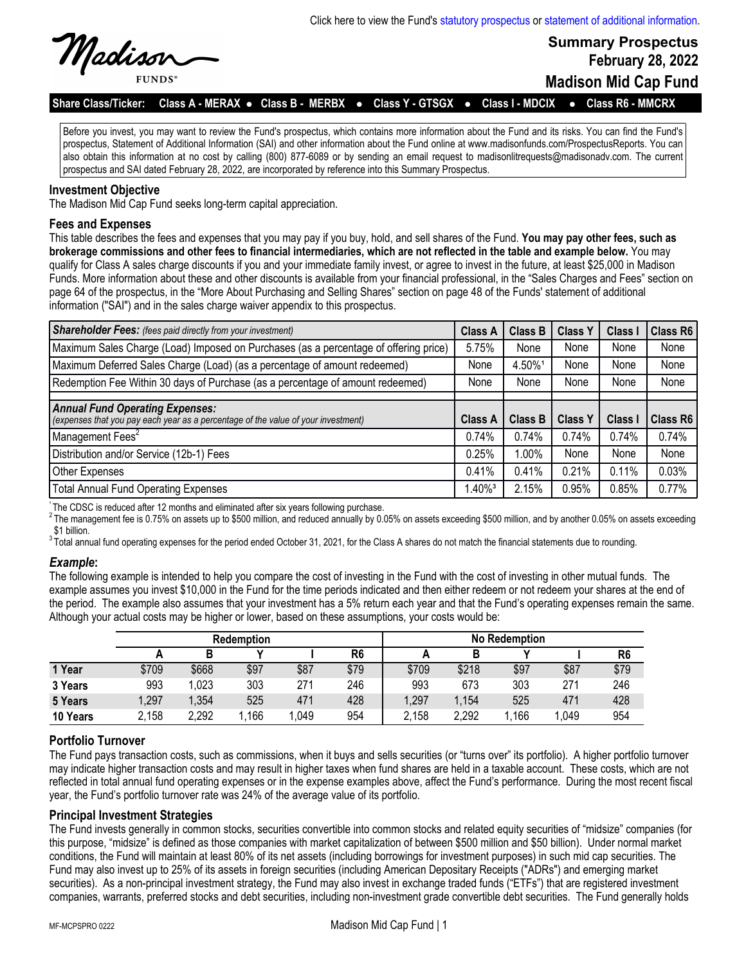

**Summary Prospectus February 28, 2022 Madison Mid Cap Fund**

Share Class/Ticker: Class A - MERAX • Class B - MERBX • Class Y - GTSGX • Class I - MDCIX • Class R6 - MMCRX

Before you invest, you may want to review the Fund's prospectus, which contains more information about the Fund and its risks. You can find the Fund's prospectus, Statement of Additional Information (SAI) and other information about the Fund online at www.madisonfunds.com/ProspectusReports. You can also obtain this information at no cost by calling (800) 877-6089 or by sending an email request to madisonlitrequests@madisonadv.com. The current prospectus and SAI dated February 28, 2022, are incorporated by reference into this Summary Prospectus.

# **Investment Objective**

The Madison Mid Cap Fund seeks long-term capital appreciation.

## **Fees and Expenses**

This table describes the fees and expenses that you may pay if you buy, hold, and sell shares of the Fund. **You may pay other fees, such as brokerage commissions and other fees to financial intermediaries, which are not reflected in the table and example below.** You may qualify for Class A sales charge discounts if you and your immediate family invest, or agree to invest in the future, at least \$25,000 in Madison Funds. More information about these and other discounts is available from your financial professional, in the "Sales Charges and Fees" section on page 64 of the prospectus, in the "More About Purchasing and Selling Shares" section on page 48 of the Funds' statement of additional information ("SAI") and in the sales charge waiver appendix to this prospectus.

| <b>Shareholder Fees:</b> (fees paid directly from your investment)                   | <b>Class A</b>        | <b>Class B</b> | <b>Class Y</b> | <b>Class</b> | Class R6 |
|--------------------------------------------------------------------------------------|-----------------------|----------------|----------------|--------------|----------|
| Maximum Sales Charge (Load) Imposed on Purchases (as a percentage of offering price) | 5.75%                 | None           | None           | None         | None     |
| Maximum Deferred Sales Charge (Load) (as a percentage of amount redeemed)            | None                  | 4.50%1         | None           | None         | None     |
| Redemption Fee Within 30 days of Purchase (as a percentage of amount redeemed)       | None                  | None           | None           | None         | None     |
|                                                                                      |                       |                |                |              |          |
| <b>Annual Fund Operating Expenses:</b>                                               |                       |                |                |              |          |
| (expenses that you pay each year as a percentage of the value of your investment)    | <b>Class A</b>        | <b>Class B</b> | <b>Class Y</b> | Class I      | Class R6 |
| Management Fees <sup>2</sup>                                                         | 0.74%                 | 0.74%          | 0.74%          | 0.74%        | 0.74%    |
| Distribution and/or Service (12b-1) Fees                                             | 0.25%                 | $1.00\%$       | None           | None         | None     |
| Other Expenses                                                                       | 0.41%                 | 0.41%          | 0.21%          | 0.11%        | 0.03%    |
| <b>Total Annual Fund Operating Expenses</b>                                          | $1.40\%$ <sup>3</sup> | 2.15%          | 0.95%          | 0.85%        | 0.77%    |

The CDSC is reduced after 12 months and eliminated after six years following purchase.

2The management fee is 0.75% on assets up to \$500 million, and reduced annually by 0.05% on assets exceeding \$500 million, and by another 0.05% on assets exceeding \$1 billion.

 $3$ Total annual fund operating expenses for the period ended October 31, 2021, for the Class A shares do not match the financial statements due to rounding.

## *Example***:**

The following example is intended to help you compare the cost of investing in the Fund with the cost of investing in other mutual funds. The example assumes you invest \$10,000 in the Fund for the time periods indicated and then either redeem or not redeem your shares at the end of the period. The example also assumes that your investment has a 5% return each year and that the Fund's operating expenses remain the same. Although your actual costs may be higher or lower, based on these assumptions, your costs would be:

|          | <b>Redemption</b> |       |      |      | <b>No Redemption</b> |       |       |      |       |                |
|----------|-------------------|-------|------|------|----------------------|-------|-------|------|-------|----------------|
|          |                   | в     |      |      | R <sub>6</sub>       |       | В     |      |       | R <sub>6</sub> |
| 1 Year   | \$709             | \$668 | \$97 | \$87 | \$79                 | \$709 | \$218 | \$97 | \$87  | \$79           |
| 3 Years  | 993               | 1,023 | 303  | 271  | 246                  | 993   | 673   | 303  | 271   | 246            |
| 5 Years  | 1,297             | 1,354 | 525  | 471  | 428                  | 1,297 | 1,154 | 525  | 471   | 428            |
| 10 Years | 2,158             | 2,292 | .166 | ,049 | 954                  | 2,158 | 2,292 | ,166 | 1,049 | 954            |

# **Portfolio Turnover**

The Fund pays transaction costs, such as commissions, when it buys and sells securities (or "turns over" its portfolio). A higher portfolio turnover may indicate higher transaction costs and may result in higher taxes when fund shares are held in a taxable account. These costs, which are not reflected in total annual fund operating expenses or in the expense examples above, affect the Fund's performance. During the most recent fiscal year, the Fund's portfolio turnover rate was 24% of the average value of its portfolio.

# **Principal Investment Strategies**

The Fund invests generally in common stocks, securities convertible into common stocks and related equity securities of "midsize" companies (for this purpose, "midsize" is defined as those companies with market capitalization of between \$500 million and \$50 billion). Under normal market conditions, the Fund will maintain at least 80% of its net assets (including borrowings for investment purposes) in such mid cap securities. The Fund may also invest up to 25% of its assets in foreign securities (including American Depositary Receipts ("ADRs") and emerging market securities). As a non-principal investment strategy, the Fund may also invest in exchange traded funds ("ETFs") that are registered investment companies, warrants, preferred stocks and debt securities, including non-investment grade convertible debt securities. The Fund generally holds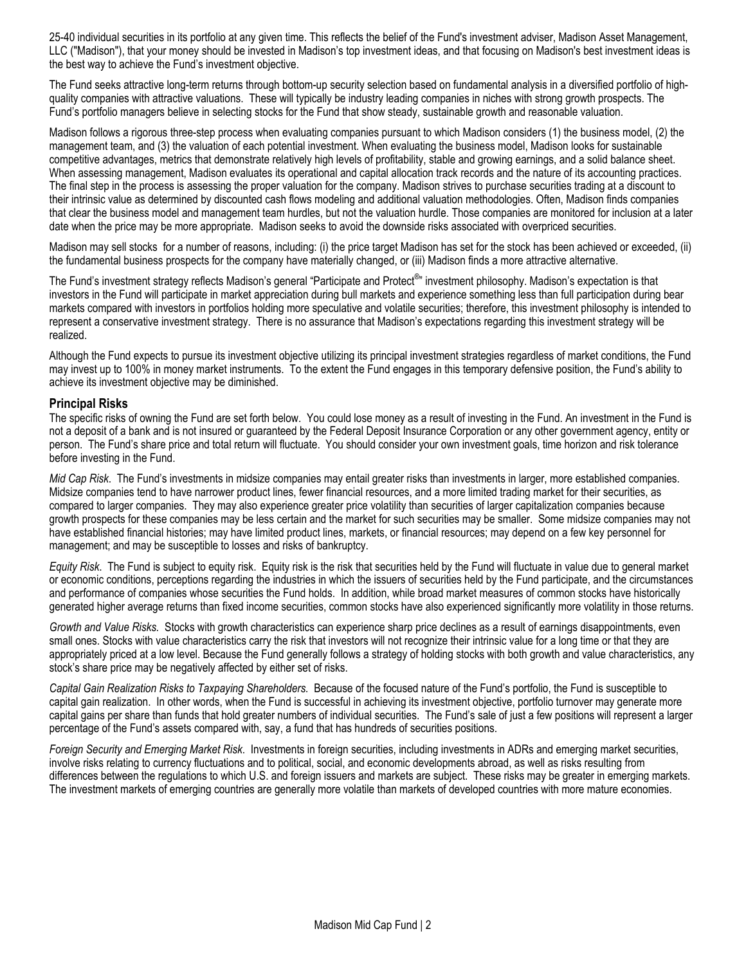25-40 individual securities in its portfolio at any given time. This reflects the belief of the Fund's investment adviser, Madison Asset Management, LLC ("Madison"), that your money should be invested in Madison's top investment ideas, and that focusing on Madison's best investment ideas is the best way to achieve the Fund's investment objective.

The Fund seeks attractive long-term returns through bottom-up security selection based on fundamental analysis in a diversified portfolio of highquality companies with attractive valuations. These will typically be industry leading companies in niches with strong growth prospects. The Fund's portfolio managers believe in selecting stocks for the Fund that show steady, sustainable growth and reasonable valuation.

Madison follows a rigorous three-step process when evaluating companies pursuant to which Madison considers (1) the business model, (2) the management team, and (3) the valuation of each potential investment. When evaluating the business model, Madison looks for sustainable competitive advantages, metrics that demonstrate relatively high levels of profitability, stable and growing earnings, and a solid balance sheet. When assessing management, Madison evaluates its operational and capital allocation track records and the nature of its accounting practices. The final step in the process is assessing the proper valuation for the company. Madison strives to purchase securities trading at a discount to their intrinsic value as determined by discounted cash flows modeling and additional valuation methodologies. Often, Madison finds companies that clear the business model and management team hurdles, but not the valuation hurdle. Those companies are monitored for inclusion at a later date when the price may be more appropriate. Madison seeks to avoid the downside risks associated with overpriced securities.

Madison may sell stocks for a number of reasons, including: (i) the price target Madison has set for the stock has been achieved or exceeded, (ii) the fundamental business prospects for the company have materially changed, or (iii) Madison finds a more attractive alternative.

The Fund's investment strategy reflects Madison's general "Participate and Protect<sup>®</sup>" investment philosophy. Madison's expectation is that investors in the Fund will participate in market appreciation during bull markets and experience something less than full participation during bear markets compared with investors in portfolios holding more speculative and volatile securities; therefore, this investment philosophy is intended to represent a conservative investment strategy. There is no assurance that Madison's expectations regarding this investment strategy will be realized.

Although the Fund expects to pursue its investment objective utilizing its principal investment strategies regardless of market conditions, the Fund may invest up to 100% in money market instruments. To the extent the Fund engages in this temporary defensive position, the Fund's ability to achieve its investment objective may be diminished.

#### **Principal Risks**

The specific risks of owning the Fund are set forth below. You could lose money as a result of investing in the Fund. An investment in the Fund is not a deposit of a bank and is not insured or guaranteed by the Federal Deposit Insurance Corporation or any other government agency, entity or person. The Fund's share price and total return will fluctuate. You should consider your own investment goals, time horizon and risk tolerance before investing in the Fund.

*Mid Cap Risk*. The Fund's investments in midsize companies may entail greater risks than investments in larger, more established companies. Midsize companies tend to have narrower product lines, fewer financial resources, and a more limited trading market for their securities, as compared to larger companies. They may also experience greater price volatility than securities of larger capitalization companies because growth prospects for these companies may be less certain and the market for such securities may be smaller. Some midsize companies may not have established financial histories; may have limited product lines, markets, or financial resources; may depend on a few key personnel for management; and may be susceptible to losses and risks of bankruptcy.

*Equity Risk*. The Fund is subject to equity risk. Equity risk is the risk that securities held by the Fund will fluctuate in value due to general market or economic conditions, perceptions regarding the industries in which the issuers of securities held by the Fund participate, and the circumstances and performance of companies whose securities the Fund holds. In addition, while broad market measures of common stocks have historically generated higher average returns than fixed income securities, common stocks have also experienced significantly more volatility in those returns.

*Growth and Value Risks.* Stocks with growth characteristics can experience sharp price declines as a result of earnings disappointments, even small ones. Stocks with value characteristics carry the risk that investors will not recognize their intrinsic value for a long time or that they are appropriately priced at a low level. Because the Fund generally follows a strategy of holding stocks with both growth and value characteristics, any stock's share price may be negatively affected by either set of risks.

*Capital Gain Realization Risks to Taxpaying Shareholders.* Because of the focused nature of the Fund's portfolio, the Fund is susceptible to capital gain realization. In other words, when the Fund is successful in achieving its investment objective, portfolio turnover may generate more capital gains per share than funds that hold greater numbers of individual securities. The Fund's sale of just a few positions will represent a larger percentage of the Fund's assets compared with, say, a fund that has hundreds of securities positions.

*Foreign Security and Emerging Market Risk*. Investments in foreign securities, including investments in ADRs and emerging market securities, involve risks relating to currency fluctuations and to political, social, and economic developments abroad, as well as risks resulting from differences between the regulations to which U.S. and foreign issuers and markets are subject. These risks may be greater in emerging markets. The investment markets of emerging countries are generally more volatile than markets of developed countries with more mature economies.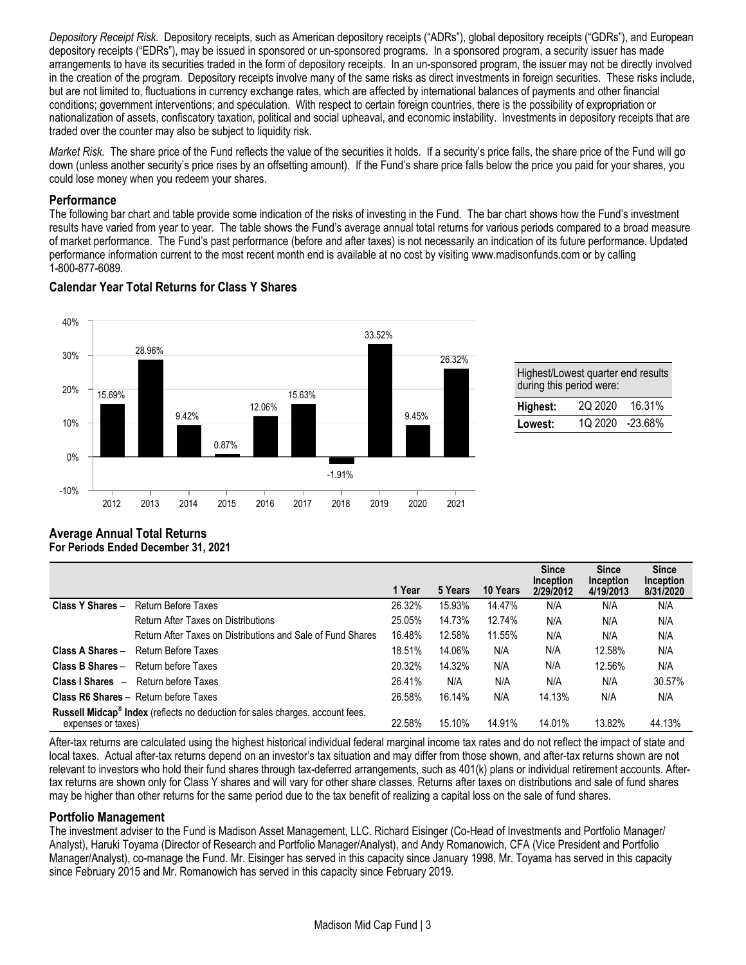*Depository Receipt Risk.* Depository receipts, such as American depository receipts ("ADRs"), global depository receipts ("GDRs"), and European depository receipts ("EDRs"), may be issued in sponsored or un-sponsored programs. In a sponsored program, a security issuer has made arrangements to have its securities traded in the form of depository receipts. In an un-sponsored program, the issuer may not be directly involved in the creation of the program. Depository receipts involve many of the same risks as direct investments in foreign securities. These risks include, but are not limited to, fluctuations in currency exchange rates, which are affected by international balances of payments and other financial conditions; government interventions; and speculation. With respect to certain foreign countries, there is the possibility of expropriation or nationalization of assets, confiscatory taxation, political and social upheaval, and economic instability. Investments in depository receipts that are traded over the counter may also be subject to liquidity risk.

*Market Risk.* The share price of the Fund reflects the value of the securities it holds. If a security's price falls, the share price of the Fund will go down (unless another security's price rises by an offsetting amount). If the Fund's share price falls below the price you paid for your shares, you could lose money when you redeem your shares.

### **Performance**

The following bar chart and table provide some indication of the risks of investing in the Fund. The bar chart shows how the Fund's investment results have varied from year to year. The table shows the Fund's average annual total returns for various periods compared to a broad measure of market performance. The Fund's past performance (before and after taxes) is not necessarily an indication of its future performance. Updated performance information current to the most recent month end is available at no cost by visiting www.madisonfunds.com or by calling 1-800-877-6089.



| <b>Calendar Year Total Returns for Class Y Shares</b> |  |  |
|-------------------------------------------------------|--|--|
|                                                       |  |  |

| Highest/Lowest quarter end results<br>during this period were: |                 |        |  |  |  |  |  |  |
|----------------------------------------------------------------|-----------------|--------|--|--|--|--|--|--|
| Highest:                                                       | 2Q 2020         | 16.31% |  |  |  |  |  |  |
| Lowest:                                                        | 1Q 2020 -23.68% |        |  |  |  |  |  |  |
|                                                                |                 |        |  |  |  |  |  |  |

## **Average Annual Total Returns For Periods Ended December 31, 2021**

|                                                                                                                 |                                                             | 1 Year | 5 Years | 10 Years | <b>Since</b><br>Inception<br>2/29/2012 | <b>Since</b><br>Inception<br>4/19/2013 | <b>Since</b><br>Inception<br>8/31/2020 |
|-----------------------------------------------------------------------------------------------------------------|-------------------------------------------------------------|--------|---------|----------|----------------------------------------|----------------------------------------|----------------------------------------|
| Class Y Shares -                                                                                                | Return Before Taxes                                         | 26.32% | 15.93%  | 14.47%   | N/A                                    | N/A                                    | N/A                                    |
|                                                                                                                 | Return After Taxes on Distributions                         | 25.05% | 14.73%  | 12.74%   | N/A                                    | N/A                                    | N/A                                    |
|                                                                                                                 | Return After Taxes on Distributions and Sale of Fund Shares | 16.48% | 12.58%  | 11.55%   | N/A                                    | N/A                                    | N/A                                    |
| Class A Shares -                                                                                                | Return Before Taxes                                         | 18.51% | 14.06%  | N/A      | N/A                                    | 12.58%                                 | N/A                                    |
| Class B Shares -                                                                                                | Return before Taxes                                         | 20.32% | 14.32%  | N/A      | N/A                                    | 12.56%                                 | N/A                                    |
|                                                                                                                 | <b>Class I Shares</b> - Return before Taxes                 | 26.41% | N/A     | N/A      | N/A                                    | N/A                                    | 30.57%                                 |
|                                                                                                                 | <b>Class R6 Shares - Return before Taxes</b>                | 26.58% | 16.14%  | N/A      | 14.13%                                 | N/A                                    | N/A                                    |
| Russell Midcap <sup>®</sup> Index (reflects no deduction for sales charges, account fees,<br>expenses or taxes) |                                                             | 22.58% | 15.10%  | 14.91%   | 14.01%                                 | 13.82%                                 | 44.13%                                 |

After-tax returns are calculated using the highest historical individual federal marginal income tax rates and do not reflect the impact of state and local taxes. Actual after-tax returns depend on an investor's tax situation and may differ from those shown, and after-tax returns shown are not relevant to investors who hold their fund shares through tax-deferred arrangements, such as 401(k) plans or individual retirement accounts. Aftertax returns are shown only for Class Y shares and will vary for other share classes. Returns after taxes on distributions and sale of fund shares may be higher than other returns for the same period due to the tax benefit of realizing a capital loss on the sale of fund shares.

## **Portfolio Management**

The investment adviser to the Fund is Madison Asset Management, LLC. Richard Eisinger (Co-Head of Investments and Portfolio Manager/ Analyst), Haruki Toyama (Director of Research and Portfolio Manager/Analyst), and Andy Romanowich, CFA (Vice President and Portfolio Manager/Analyst), co-manage the Fund. Mr. Eisinger has served in this capacity since January 1998, Mr. Toyama has served in this capacity since February 2015 and Mr. Romanowich has served in this capacity since February 2019.